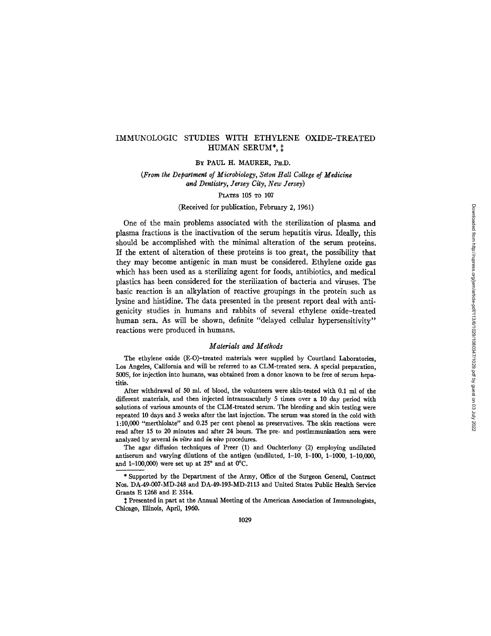# IMMUNOLOGIC STUDIES WITH ETHYLENE OXIDE-TREATED HUMAN SERUM\*,  $\ddagger$

# BY PAUL H. MAURER, PH.D.

*(From the Department of Microbiology, Seton Hall College of Medicine and Dentistry, Jersey City, New Jersey)* 

PLATES 105 TO 107

#### (Received for publication, February 2, 1961)

One of the main problems associated with the sterilization of plasma and plasma fractions is the inactivation of the serum hepatitis virus. Ideally, this should be accomplished with the minimal alteration of the serum proteins. If the extent of alteration of these proteins is too great, the possibility that they may become antigenic in man must be considered. Ethylene oxide gas which has been used as a sterilizing agent for foods, antibiotics, and medical plastics has been considered for the sterilization of bacteria and viruses. The basic reaction is an alkylation of reactive groupings in the protein such as lysine and histidine. The data presented in the present report deal with antigenicity studies in humans and rabbits of several ethylene oxide-treated human sera. As will be shown, definite "delayed cellular hypersensitivity" reactions were produced in humans.

#### *Materials and Methods*

The ethylene oxide (E-O)-treated materials were supplied by Courtland Laboratories, Los Angeles, California and will be referred to as CLM-treated sera. A special preparation, 500S, for injection into humans, was obtained from a donor known to be free of serum hepatitis.

After withdrawal of 50 ml. of blood, the volunteers were skin-tested with 0.1 ml of the different materials, and then injected intramuscularly 5 times over a 10 day period with solutions of various amounts of the CLM-treated serum. The bleeding and skin testing were repeated 10 days and 3 weeks after the last injection. The serum was stored in the cold with 1:10,000 *"merthiolate"* and 0.25 per cent phenol as preservatives. The skin reactions were read after 15 to 20 minutes and after 24 hours. The pre- and postimmunization sera were analyzed by several *in vitro* and *in vivo* procedures.

The agar diffusion techniques of Preer (1) and Ouchterlony (2) employing undiluted antiserum and varying dilutions of the antigen (undiluted, 1-10, 1-100, 1-1000, 1-10,000, and 1-100,000) were set up at  $25^{\circ}$  and at  $0^{\circ}$ C.

\* Supported by the Department of the Army, Office of the Surgeon General, Contract Nos. DA-49-007-MD-248 and DA-49-193-MD-2113 and United States Public Health Service Grants E 1258 and E 3514.

 Presented in part at the Annual Meeting of the American Association of Immunologists, Chicago, Illinois, April, 1960.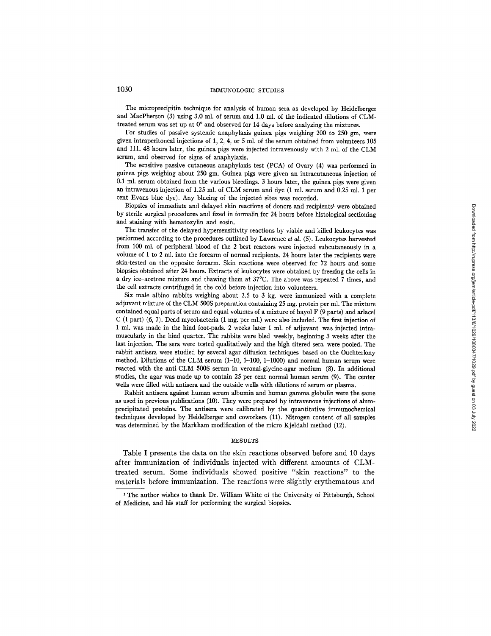The microprecipitin technique for analysis of human sera as developed by Heidelberger and MacPherson (3) using 3.0 ml. of serum and 1.0 ml. of the indicated dilutions of CLMtreated serum was set up at  $0^{\circ}$  and observed for 14 days before analyzing the mixtures.

For studies of passive systemic anaphylaxis guinea pigs weighing 200 to 250 gm. were given intraperitoneal injections of 1, 2, 4, or 5 ml. of the serum obtained from volunteers 105 and 111.48 hours later, the guinea pigs were injected intravenously with 2 ml. of the CLM serum, and observed for signs of anaphylaxis.

The sensitive passive cutaneous anaphylaxis test (PCA) of Ovary (4) was performed in guinea pigs weighing about 250 gm. Guinea pigs were given an intracutaneous injection of 0.1 ml. serum obtained from the various bleedings. 3 hours later, the guinea pigs were given an intravenous injection of 1.25 ml. of CLM serum and dye (1 ml. serum and 0.25 ml. 1 per cent Evans blue dye). Any blueing of the injected sites was recorded.

Biopsies of immediate and delayed skin reactions of donors and recipients<sup>1</sup> were obtained by sterile surgical procedures and fixed in formalin for 24 hours before histological sectioning and staining with hematoxylin and eosin.

The transfer of the delayed hypersensitivity reactions by viable and killed leukocytes was performed according to the procedures outlined by Lawrence  $et$   $al.$  (5). Leukocytes harvested from 100 ml. of peripheral blood of the 2 best reactors were injected subcutaneously in a volume of 1 to 2 ml. into the forearm of normal recipients. 24 hours later the recipients were skin-tested on the opposite forearm. Skin reactions were observed for 72 hours and some biopsies obtained after 24 hours. Extracts of leukocytes were obtained by freezing the cells in a dry ice-acetone mixture and thawing them at 37°C. The above was repeated 7 times, and the cell extracts centrifuged in the cold before injection into volunteers.

Six male albino rabbits weighing about 2.5 to 3 kg. were immunized with a complete adjuvant mixture of the CLM 500S preparation containing 25 mg, protein per ml. The mixture contained equal parts of serum and equal volumes of a mixture of bayol F (9 parts) and arlacel C (1 part) (6, 7). Dead mycobacteria (1 mg. per ml.) were also included. The first injection of 1 ml. was made in the hind foot-pads. 2 weeks later 1 ml. of adjuvant was injected intramuscularly in the hind quarter. The rabbits were bled weekly, beginning 3 weeks after the last injection. The sera were tested qualitatively and the high titered sera were pooled. The rabbit antisera were studied by several agar diffusion techniques based on the Ouchterlony method. Dilutions of the CLM serum (1-10, 1-100, 1-1000) and normal human serum were reacted with the anti-CLM 500S serum in veronal-giycine-agar medium (8). In additional studies, the agar was made up to contain 25 per cent normal human serum (9). The center wells were filled with antisera and the outside wells with dilutions of serum or plasma.

Rabbit antisera against human serum albumin and human gamma globulin were the same as used in previous publications (10). They were prepared by intravenous injections of alumprecipitated proteins. The antisera were calibrated by the quantitative immunochemical techniques developed by Heidelberger and coworkers (11). Nitrogen content of all samples was determined by the Markham modification of the micro Kjeldahl method (12).

#### **RESULTS**

Table I presents the data on the skin reactions observed before and 10 days after immunization of individuals injected with different amounts of CLMtreated serum. Some individuals showed positive "skin reactions" to the materials before immunization. The reactions were slightly erythematous and

<sup>&#</sup>x27; The author wishes to thank Dr. William White of the University of Pittsburgh, School of Medicine, and his staff for performing the surgical biopsies.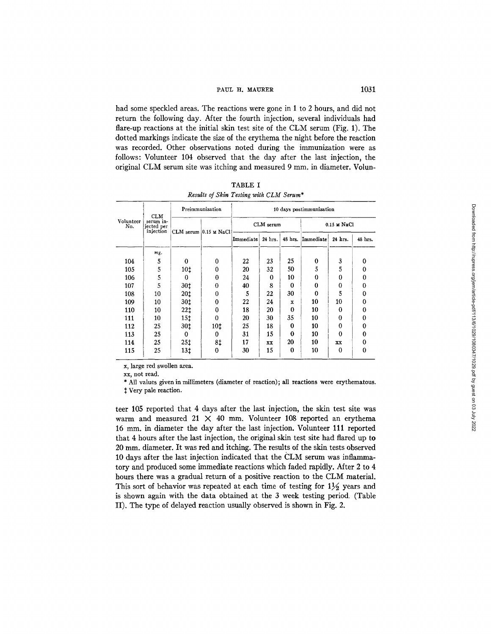had some speckled areas. The reactions were gone in 1 to 2 hours, and did not return the following day. Mter the fourth injection, several individuals had flare-up reactions at the initial skin test site of the CLM serum (Fig. 1). The dotted markings indicate the size of the erythema the night before the reaction was recorded. Other observations noted during the immunization were as follows: Volunteer 104 observed that the day after the last injection, the original CLM serum site was itching and measured 9 mm. in diameter. Volun-

|  | TABLE I                                 |
|--|-----------------------------------------|
|  | Results of Skin Testing with CLM Serum* |
|  |                                         |

|                  | CLM<br>serum in-<br>jected per<br>injection | Preimmunization |                           | 10 days postimmunization |         |          |                    |          |         |  |
|------------------|---------------------------------------------|-----------------|---------------------------|--------------------------|---------|----------|--------------------|----------|---------|--|
| Volunteer<br>No. |                                             |                 | $CLM$ serum $0.15$ M NaCl | CLM serum                |         |          | $0.15 \times NaCl$ |          |         |  |
|                  |                                             |                 |                           | Immediate                | 24 hrs. | 48 hrs.  | Immediate          | 24 hrs.  | 48 hrs. |  |
|                  | mg.                                         |                 |                           |                          |         |          |                    |          |         |  |
| 104              | 5                                           | 0               | $\Omega$                  | 22                       | 23      | 25       | 0                  | 3        | 0       |  |
| 105              | 5                                           | 10 <sub>1</sub> | 0                         | 20                       | 32      | 50       | 5                  | 5        | 0       |  |
| 106              | 5                                           | 0               | 0                         | 24                       | 0       | 10       | 0                  | $\bf{0}$ | 0       |  |
| 107              | 5                                           | 30 <sup>t</sup> | 0                         | 40                       | 8       | $\bf{0}$ | ŋ                  | $\Omega$ | 0       |  |
| 108              | $10\,$                                      | 20‡             | $\theta$                  | 5                        | 22      | 30       | 0                  | 5        | 0       |  |
| 109              | 10                                          | 30 <sup>t</sup> | 0                         | 22                       | 24      | x        | 10                 | 10       | 0       |  |
| 110              | 10                                          | 22 <sub>1</sub> | $\Omega$                  | 18                       | 20      | 0        | 10                 | 0        | 0       |  |
| 111              | 10                                          | 15‡             | $\Omega$                  | 20                       | 30      | 35       | 10                 | 0        | 0       |  |
| 112              | 25                                          | 30‡             | 10 <sub>t</sub>           | 25                       | 18      | $\bf{0}$ | 10                 | 0        | 0       |  |
| 113              | 25                                          | 0               | 0                         | 31                       | 15      | 0        | 10                 | 0        | 0       |  |
| 114              | 25                                          | 25‡             | 8‡                        | 17                       | XX      | 20       | 10                 | XX       | 0       |  |
| 115              | 25                                          | 13‡             | $\bf{0}$                  | 30                       | 15      | $\bf{0}$ | 10                 | $\bf{0}$ | 0       |  |

x, large red swollen area.

xx, not read.

\* All values given in millimeters (diameter of reaction); all reactions were erythematous. Very pale reaction.

teer 105 reported that 4 days after the last injection, the skin test site was warm and measured 21  $\times$  40 mm. Volunteer 108 reported an erythema 16 mm. in diameter the day after the last injection. Volunteer 111 reported that 4 hours after the last injection, the original skin test site had flared up to 20 mm. diameter. It was red and itching. The results of the skin tests observed 10 days after the last injection indicated that the CLM serum was inflammatory and produced some immediate reactions which faded rapidly. Mter 2 to 4 hours there was a gradual return of a positive reaction to the CLM material. This sort of behavior was repeated at each time of testing for  $1\frac{1}{2}$  years and is shown again with the data obtained at the 3 week testing period (Table II). The type of delayed reaction usually observed is shown in Fig. 2.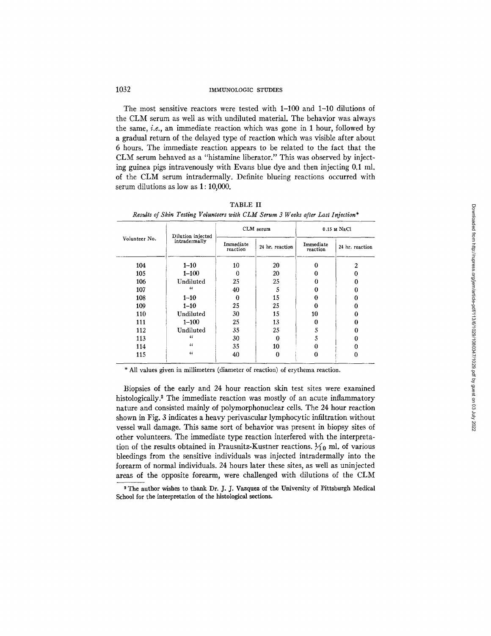The most sensitive reactors were tested with 1-100 and 1-10 dilutions of the CLM serum as well as with undiluted material. The behavior was always the same, *i.e.,* an immediate reaction which was gone in 1 hour, followed by a gradual return of the delayed type of reaction which was visible after about 6 hours. The immediate reaction appears to be related to the fact that the CLM serum behaved as a "histamine liberator." This was observed by injecting guinea pigs intravenously with Evans blue dye and then injecting 0.1 ml. of the CLM serum intradermally. Definite blueing reactions occurred with serum dilutions as low as 1: 10,000.

CLM serum 0.15 M NaCl Volunteer No. Dilution injected intradermally  $\begin{array}{|c|c|c|c|}\nImmediate & 24 hr. reaction & \begin{array}{l} Immediate & \end{array} \end{array}$ 24 hr. reaction reaction 104 1-10 10 20 0 2 105 1-100 0 20  $0 \qquad \qquad 0$ 106 Undiluted 25 25  $0 \qquad \qquad 0$ 40 0 107 5  $\Omega$  $1 - 10$ 0 15 0 108  $\Omega$ 109 1-10 25 25 0  $\mathbf{0}$ 30 15 10 110 Undiluted  $\Omega$ 25 111 1-100 13 0  $\bf{0}$ 112 Undiluted 35 25 5  $\boldsymbol{0}$ 30 0 113 5  $\bf{0}$  $\overline{a}$ 114 35 10 0  $\mathbf{0}$  $\ddot{\mathbf{6}}$ 115 40 0 0  $\bf{0}$ I

TABLE II *Results of Skin Testing Volunteers with CLM Serum 3 Weeks after Last Injection\** 

\* All values given in millimeters (diameter of reaction) of erythema reaction.

Biopsies of the early and 24 hour reaction skin test sites were examined histologically.<sup>2</sup> The immediate reaction was mostly of an acute inflammatory nature and consisted mainly of polymorphonuclear cells. The 24 hour reaction shown in Fig. 3 indicates a heavy perivascular lymphocytic infiltration without vessel wall damage. This same sort of behavior was present in biopsy sites of other volunteers. The immediate type reaction interfered with the interpretation of the results obtained in Prausnitz-Kustner reactions.  $\frac{1}{10}$  ml. of various bleedings from the sensitive individuals was injected intradermally into the forearm of normal individuals. 24 hours later these sites, as well as uninjected areas of the opposite forearm, were challenged with dilutions of the CLM

The author wishes to thank Dr. J. J. Vazquez of the University of Pittsburgh Medical School for the interpretation of the histological sections.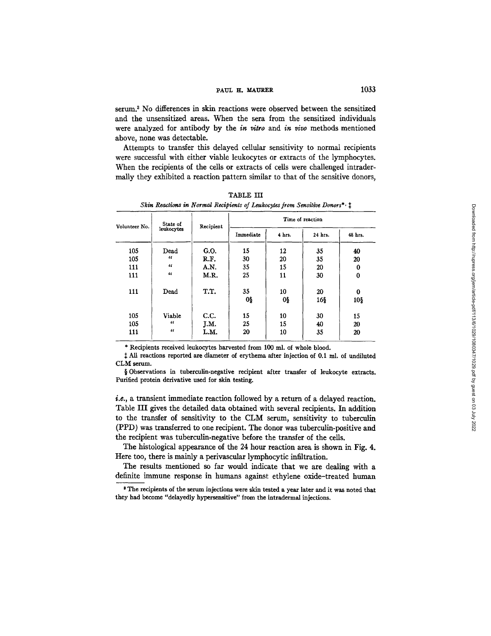serum. 3 No differences in skin reactions were observed between the sensitized and the unsensitized areas. When the sera from the sensitized individuals were analyzed for antibody by the *in vitro* and *in vivo* methods mentioned above, none was detectable.

Attempts to transfer this delayed cellular sensitivity to normal recipients were successful with either viable leukocytes or extracts of the lymphocytes. When the recipients of the cells or extracts of cells were challenged intradermally they exhibited a reaction pattern similar to that of the sensitive donors,

| Volunteer No. | State of<br>leukocytes | Recipient | Time of reaction |        |         |          |  |  |
|---------------|------------------------|-----------|------------------|--------|---------|----------|--|--|
|               |                        |           | Immediate        | 4 hrs. | 24 hrs. | 48 hrs.  |  |  |
| 105           | Dead                   | G.O.      | 15               | 12     | 35      | 40       |  |  |
| 105           | $\epsilon$             | R.F.      | 30               | 20     | 35      | 20       |  |  |
| 111           | $\epsilon$             | A.N.      | 35               | 15     | 20      | $\bf{0}$ |  |  |
| 111           | 66                     | M.R.      | 25               | 11     | 30      | $\bf{0}$ |  |  |
| 111           | Dead                   | T.T.      | 35               | 10     | 20      | $\bf{0}$ |  |  |
|               |                        |           | 0§               | 0§     | $16\$   | $10\%$   |  |  |
| 105           | Viable                 | C.C.      | 15               | 10     | 30      | 15       |  |  |
| 105           | $\epsilon$             | J.M.      | 25               | 15     | 40      | 20       |  |  |
| 111           | $\epsilon$             | L.M.      | 20               | 10     | 35      | 20       |  |  |

TABLE HI *Skin Reactions in Normal Recipients of Leukocytes from Sensitive Donors\*,*  $\ddagger$ 

\* Recipients received leukocytes harvested from 100 ml. of whole blood.

 $\ddagger$  All reactions reported are diameter of erythema after injection of 0.1 ml. of undiluted CLM serum.

§ Observations in tuberculin-negative recipient after transfer of leukocyte extracts. Purified protein derivative used for skin testing.

*i.e.*, a transient immediate reaction followed by a return of a delayed reaction. Table HI gives the detailed data obtained with several recipients. In addition to the transfer of sensitivity to the CLM serum, sensitivity to tuberculin (PPD) was transferred to one recipient. The donor was tuberculin-positive and the recipient was tuberculin-negative before the transfer of the cells.

The histological appearance of the 24 hour reaction area is shown in Fig. 4. Here too, there is mainly a perivascular lymphocytic infiltration.

The results mentioned so far would indicate that we are dealing with a definite immune response in humans against ethylene oxide-treated human

<sup>&</sup>lt;sup>3</sup> The recipients of the serum injections were skin tested a year later and it was noted that they bad become "delayediy hypersensitive" from the intradermal injections.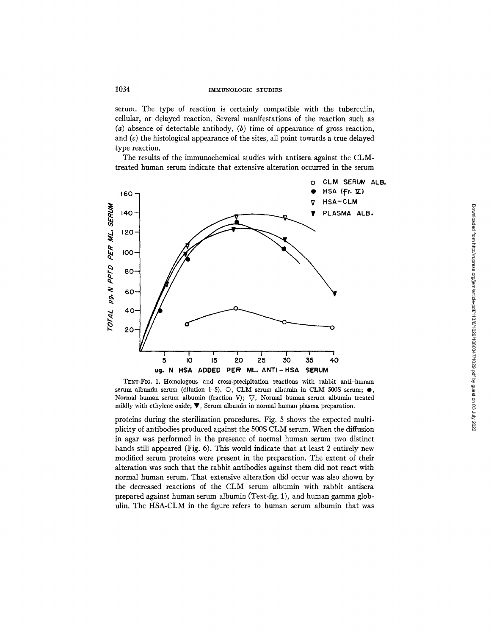serum. The type of reaction is certainly compatible with the tuberculin, cellular, or delayed reaction. Several manifestations of the reaction such as  $(a)$  absence of detectable antibody,  $(b)$  time of appearance of gross reaction, and  $(c)$  the histological appearance of the sites, all point towards a true delayed type reaction.

The results of the immunochemical studies with antisera against the CLMtreated human serum indicate that extensive alteration occurred in the serum



TEXT-FIG. 1. Homologous and cross-precipitation reactions with rabbit anti-human serum albumin serum (dilution 1-5). O, CLM serum albumin in CLM 500S serum;  $\bullet$ , Normal human serum albumin (fraction V);  $\nabla$ , Normal human serum albumin treated mildly with ethylene oxide; Y, Serum albumin in normal human plasma preparation.

proteins during the sterilization procedures. Fig. 5 shows the expected multiplicity of antibodies produced against the 500S CLM serum. When the diffusion in agar was performed in the presence of normal human serum two distinct bands still appeared (Fig. 6). This would indicate that at least 2 entirely new modified serum proteins were present in the preparation. The extent of their alteration was such that the rabbit antibodies against them did not react with normal human serum. That extensive alteration did occur was also shown by the decreased reactions of the *CLM* serum albumin with rabbit antisera prepared against human serum albumin (Text-fig. 1), and human gamma globulin. The HSA-CLM in the figure refers to human serum albumin that was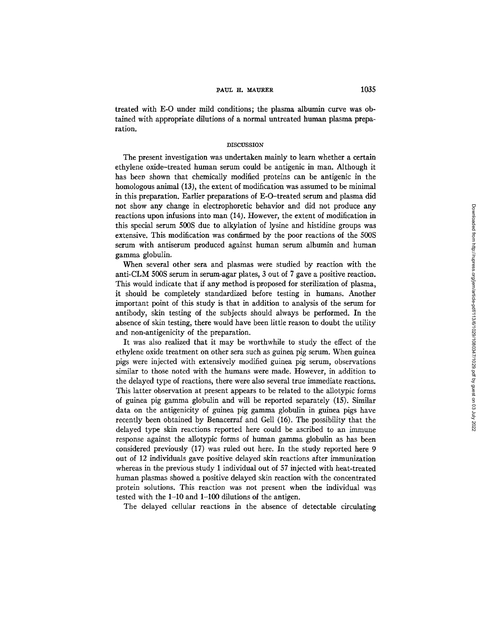treated with E-O under mild conditions; the plasma albumin curve was obtained with appropriate dilutions of a normal untreated human plasma preparation.

#### DISCUSSION

The present investigation was undertaken mainly to learn whether a certain ethylene oxide--treated human serum could be antigenic in man. Although it has been shown that chemically modified proteins can be antigenic in the homologous animal (13), the extent of modification was assumed to be minimal in this preparation. Earlier preparations of E-O-treated serum and plasma did not show any change in electrophoretic behavior and did not produce any reactions upon infusions into man (14). However, the extent of modification in this special serum 500S due to alkylation of lysine and histidine groups was extensive. This modification was confirmed by the poor reactions of the 500S serum with antiserum produced against human serum albumin and human gamma globulin.

When several other sera and plasmas were studied by reaction with the anti-CLM 500S serum in serum-agar plates, 3 out of 7 gave a positive reaction. This would indicate that if any method is proposed for sterilization of plasma, it should be completely standardized before testing in humans. Another important point of this study is that in addition to analysis of the serum for antibody, skin testing of the subjects should always be performed. In the absence of skin testing, there would have been little reason to doubt the utility and non-antigenicity of the preparation.

It was also realized that it may be worthwhile to study the effect of the ethylene oxide treatment on other sera such as guinea pig serum. When guinea pigs were injected with extensively modified guinea pig serum, observations similar to those noted with the humans were made. However, in addition to the delayed type of reactions, there were also several true immediate reactions. This latter observation at present appears to be related to the allotypic forms of guinea pig gamma globulin and will be reported separately (15). Similar data on the antigenicity of guinea pig gamma globulin in guinea pigs have recently been obtained by Benacerraf and Gell (16). The possibility that the delayed type skin reactions reported here could be ascribed to an immune response against the allotypic forms of human gamma globulin as has been considered previously (17) was ruled out here. In the study reported here 9 out of 12 individuals gave positive delayed skin reactions after immunization whereas in the previous study 1 individual out of 57 injected with heat-treated human plasmas showed a positive delayed skin reaction with the concentrated protein solutions. This reaction was not present when the individual was tested with the 1-10 and 1-100 dilutions of the antigen.

The delayed cellular reactions in the absence of detectable circulating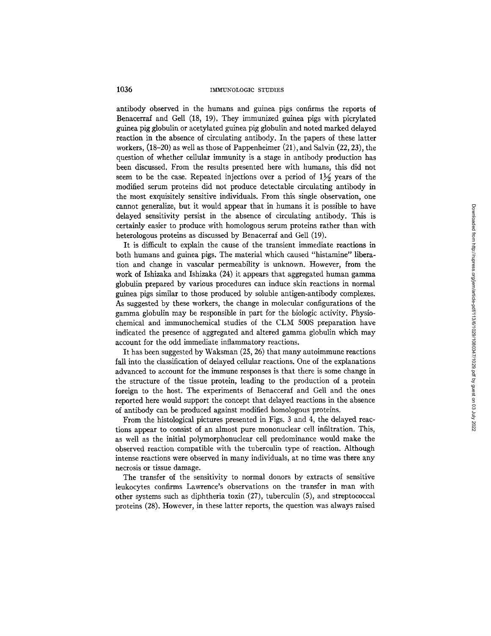antibody observed in the humans and guinea pigs confirms the reports of Benacerraf and Gell (18, 19). They immunized guinea pigs with picrylated guinea pig globulin or acetylated guinea pig globulin and noted marked delayed reaction in the absence of circulating antibody. In the papers of these latter workers, (18-20) as well as those of Pappenheimer (21), and Salvin (22, 23), the question of whether cellular immunity is a stage in antibody production has been discussed. From the results presented here with humans, this did not seem to be the case. Repeated injections over a period of  $1\frac{1}{2}$  years of the modified serum proteins did not produce detectable circulating antibody in the most exquisitely sensitive individuals. From this single observation, one cannot generalize, but it would appear that in humans it is possible to have delayed sensitivity persist in the absence of circulating antibody. This is certainly easier to produce with homologous serum proteins rather than with heterologous proteins as discussed by Benacerraf and Gell (19).

It is difficult to explain the cause of the transient immediate reactions in both humans and guinea pigs. The material which caused "histamine" liberation and change in vascular permeability is unknown. However, from the work of Ishizaka and Ishizaka (24) it appears that aggregated human gamma globulin prepared by various procedures can induce skin reactions in normal guinea pigs similar to those produced by soluble antigen-antibody complexes. As suggested by these workers, the change in molecular configurations of the gamma globulin may be responsible in part for the biologic activity. Physiochemical and immunochemical studies of the CLM 500S preparation have indicated the presence of aggregated and altered gamma globulin which may account for the odd immediate inflammatory reactions.

It has been suggested by Waksman (25, 26) that many autoimmune reactions fall into the classification of delayed cellular reactions. One of the explanations advanced to account for the immune responses is that there is some change in the structure of the tissue protein, leading to the production of a protein foreign to the host. The experiments of Benacceraf and Gell and the ones reported here would support the concept that delayed reactions in the absence of antibody can be produced against modified homologous proteins.

From the histological pictures presented in Figs. 3 and 4, the delayed reactions appear to consist of an almost pure mononuclear cell infiltration. This, as well as the initial polymorphonuclear cell predominance would make the observed reaction compatible with the tuberculin type of reaction. Although intense reactions were observed in many individuals, at no time was there any necrosis or tissue damage.

The transfer of the sensitivity to normal donors by extracts of sensitive leukocytes confirms Lawrence's observations on the transfer in man with other systems such as diphtheria toxin (27), tuberculin (5), and streptococcal proteins (28). However, in these latter reports, the question was always raised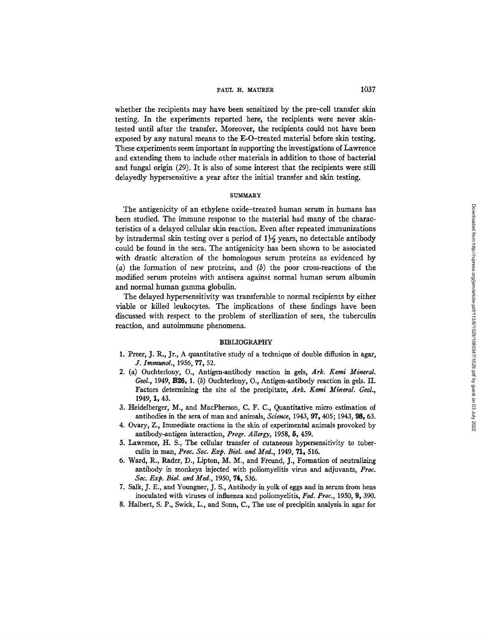whether the recipients may have been sensitized by the pre-cell transfer skin testing. In the experiments reported here, the recipients were never skintested until after the transfer. Moreover, the recipients could not *have* been exposed by any natural means to the E-O-treated material before skin testing. These experiments seem important in supporting the investigations of Lawrence and extending them to include other materials in addition to those of bacterial and fungal origin (29). It is also of some interest that the recipients were still delayedly hypersensitive a year after the initial transfer and skin testing.

#### SUMMARY

The antigenicity of an ethylene oxide-treated human serum in humans has been studied. The immune response to the material had many of the characteristics of a delayed cellular skin reaction. Even after repeated immunizations by intradermal skin testing over a period of  $1\frac{1}{2}$  years, no detectable antibody could be found in the sera. The antigenicity has been shown to be associated with drastic alteration of the homologous serum proteins as evidenced by  $(a)$  the formation of new proteins, and  $(b)$  the poor cross-reactions of the modified serum proteins with antisera against normal human serum albumin and normal human gamma globulin.

The delayed hypersensitivity was transferable to normal recipients by either viable or killed leukocytes. The implications of these findings have been discussed with respect to the problem of sterilization of sera, the tuberculin reaction, and autoimmune phenomena.

#### BIBLIOGRAPHY

- 1. Preer, J. R., Jr., A quantitative study of a technique of double diffusion in agar, *J. Immunol.,* 1956, 77~ 52.
- 2. (a) Ouchterlony, O., Antigen-antibody reaction in gels, *Ark. Kemi Mineral. Geol.,* 1949, B26, 1. (b) Ouchterlony, 0., Antigen-antibody reaction in gels. LI. Factors determining the site of the precipitate, *Ark. Kemi Mineral. Geol.,*  1949, 1, 43.
- 3. Heidelberger, M., and MacPherson, C. F. C., Quantitative micro estimation of antibodies in the sera of man and animals, *Science,* 1943, 97, 405; 1943, 98, 63.
- 4. Ovary, *Z.,* Immediate reactions in the skin of experimental animals provoked by antibody-antigen interaction, *Progr. Allergy,* 1958, 5, 459.
- 5. Lawrence, H. S., The cellular transfer of cutaneous hypersensitivity to tuberculin in man, *Proc. Soc. Exp. Biol. and Med.*, 1949, 71, 516.
- 6. Ward, R., Rader, D., Lipton, M. M., and Freund, J., Formation of neutralizing antibody in monkeys injected with poliomyelitis virus and adjuvants, *Proc. Soc. Exp. Biol. and Med.,* 1950, 74, 536.
- 7. Salk, J. E., and Youngner, J. S., Antibody in yolk of eggs and in serum from hens inoculated with viruses of influenza and poliomyelitis, *Fed. Proc.,* 1950, 9, 390.
- 8. Halbert, S. P., Swick, *L.,* and Sonn, C., The use of precipitin analysis in agar for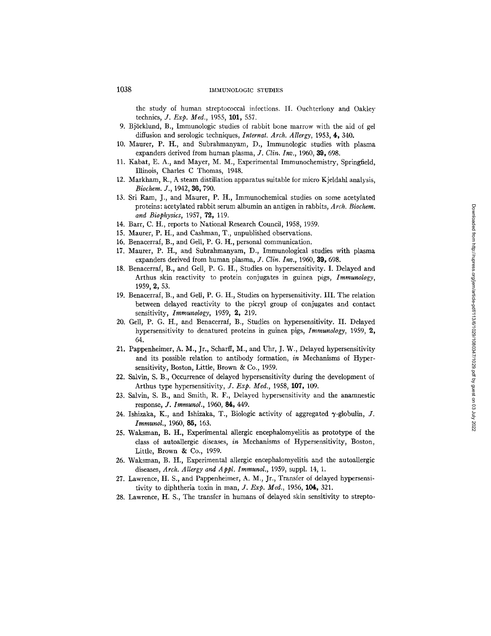the study of human streptococcal infections. II. Ouchterlony and Oakley technics, *Y. Exp. Med.,* 1955, 101, 557.

- 9. Björklund, B., Immunologic studies of rabbit bone marrow with the aid of gel diffusion and serologic techniques, *Internat. Arch. Allergy,* 1953, 4, 340.
- 10. Maurer, P. H., and Subrahmanyam, D., Immunologic studies with plasma expanders derived from human plasma, J. Clin. Inv., 1960, 39, 698.
- 11. Kabat, E. A., and Mayer, M. M., Experimental Immunochemistry, Springfield, Illinois, Charles C Thomas, 1948.
- 12. Markham, R., A steam distillation apparatus suitable for micro Kjeldahl analysis, *Biochem. J.*, 1942, 36, 790.
- 13. Sri Ram, J., and Maurer, P. H., Immunochemical studies on some acetylated proteins: acetylated rabbit serum albumin an antigen in rabbits, *Arch. Biochem. and Biophysics,* 1957, 72, 119.
- 14. Barr, C. H., reports to National Research Council, 1958, 1959.
- 15. Maurer, P. H., and Cashman, T., unpublished observations.
- 16. Benacerraf, B., and Gell, P. G. *H.,* personal communication.
- 17. Maurer, P. H., and Subrahmanyam, D., Immunological studies with plasma expanders derived from human plasma, *J. Clin. Inv.,* 1960, 39, 698.
- 18. Benacerraf, B., and Gell P. G. H., Studies on hypersensitivity. I. Delayed and Arthus skin reactivity to protein conjugates in guinea pigs, *Immunology,*  1959, 2, 53.
- 19. Benacerraf, B., and Gell, P. G. H., Studies on hypersensitivity. III. The relation between delayed reactivity to the picryl group of conjugates and contact sensitivity, *Immunology,* 1959, 2, 219.
- 20. Gell, P. G. H., and Benacerraf, B., Studies on hypersensitivity. II. Delayed hypersensitivity to denatured proteins in guinea pigs, *Immunology,* 1959, 2, 64.
- 21. Pappenheimer, A. M., Jr., Scharff, M., and Uhr, J. W., Delayed hypersensitivity and its possible relation to antibody formation, *in* Mechanisms of Hypersensitivity, Boston, Little, Brown & Co., 1959.
- 22. Salvin, S. B., Occurrence of delayed hypersensitivity during the development of Arthus type hypersensitivity, *J. Exp. Med.,* 1958, 107, 109.
- 23. Salvin, S. B., and Smith, R. F., Delayed hypersensitivity and the anamnestic response, *J. ImmunoI.,* 1960, 84, 449.
- 24. Ishizaka, K., and Ishizaka, T., Biologic activity of aggregated  $\gamma$ -globulin, J. *Immunol.,* 1960, 85, 163.
- 25. Waksman, B. H., Experimental allergic encephalomyelitis as prototype of the class of autoallergic diseases, *in* Mechanisms of Hypersensitivity, Boston, Little, Brown & Co., 1959.
- 26. Waksman, B. H., Experimental allergic encephalomyelitis and the autoallergic diseases, *Arch. Allergy and A ppl. Immunol.,* 1959, suppl. 14, 1.
- 27. Lawrence, H. S., and Pappenheimer, A. M., Jr., Transfer of delayed hypersensitivity to diphtheria toxin in man, *J. Exp. Med.,* 1956, 104, 321.
- 28. Lawrence, H. S., The transfer in humans of delayed skin sensitivity to strepto-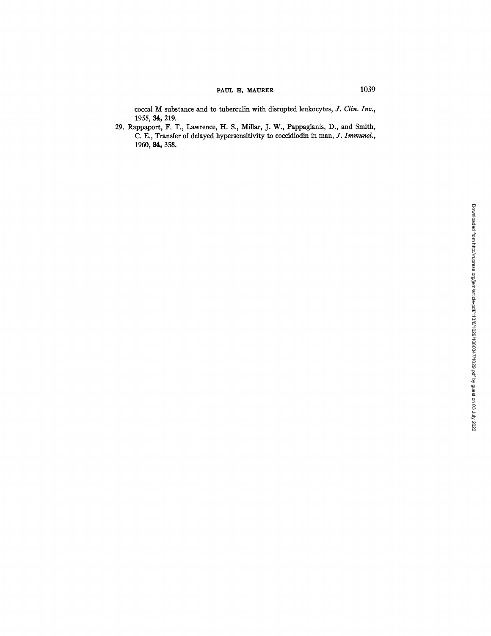coccal M substance and to tuberculin with disrupted leukocytes, *J. Clin. Inv.,*  1955, 34, 219.

29. Rappaport, F. T., Lawrence, H. S., Millar, J. W., Pappagianis, D., and Smith, C. E., Transfer of delayed hypersensitivity to coccidiodin in man, *J. Immunol.,*  1960, 84, 358.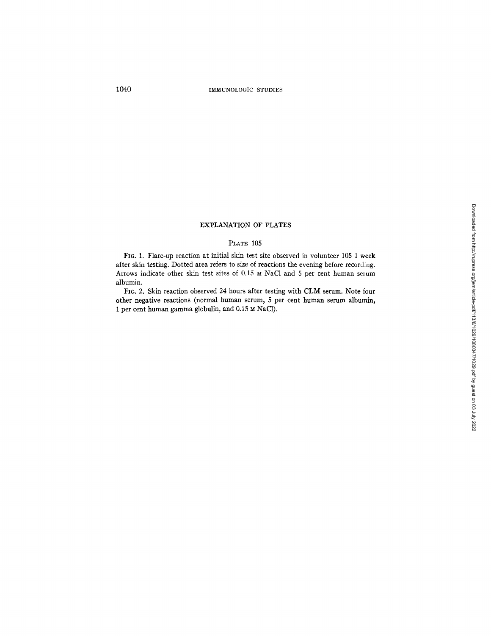# EXPLANATION OF PLATES

## PLATE 105

FIG. 1. Flare-up reaction at initial skin test site observed in volunteer 105 1 week after skin testing. Dotted area refers to size of reactions the evening before recording. Arrows indicate other skin test sites of 0.15  $\text{M}$  NaCl and 5 per cent human serum albumin.

FIG. 2. Skin reaction observed 24 hours after testing with CLM serum. Note four other negative reactions (normal human serum, 5 per cent human serum albumin, 1 per cent human gamma globulin, and 0.15 M NaC1).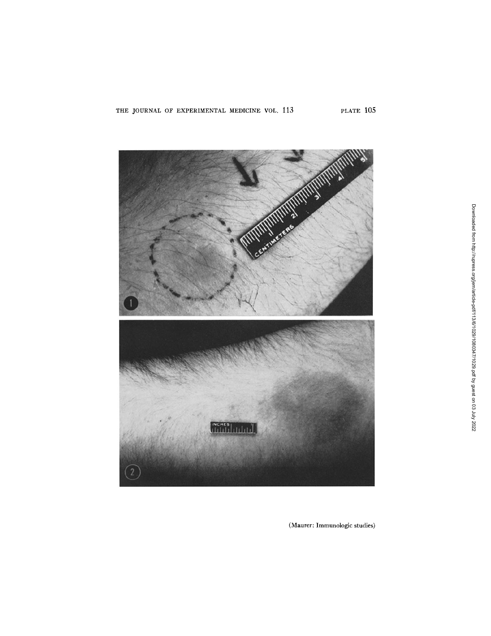

(Maurer: Immunologic studies)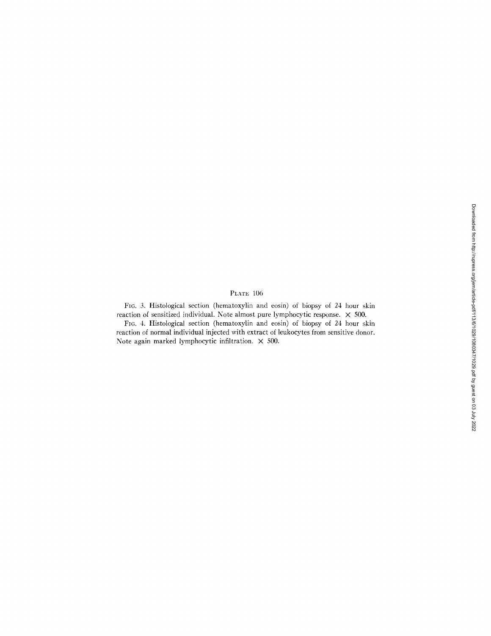# PLATE 106

FIG. 3. Histological section (hematoxylin and eosin) of biopsy of 24 hour skin reaction of sensitized individual. Note almost pure lymphocytic response.  $\times$  500.

FIG. 4. Histological section (hematoxylin and eosin) of biopsy of 24 hour skin reaction of normal individual iniected with extract of leukocytes from sensitive donor. Note again marked lymphocytic infiltration, X 500.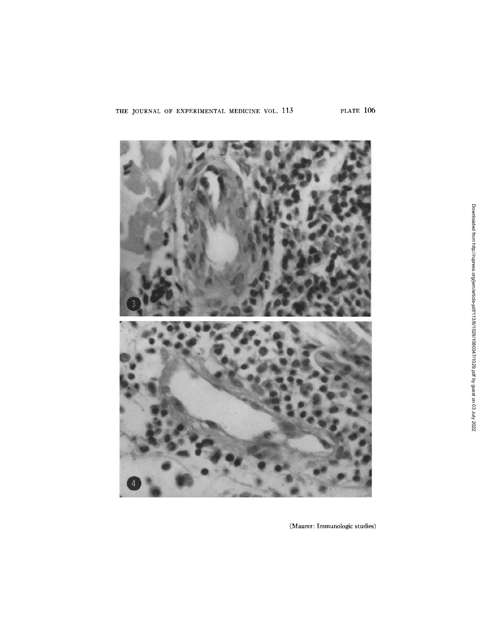

(Maurer: Immunologic studies)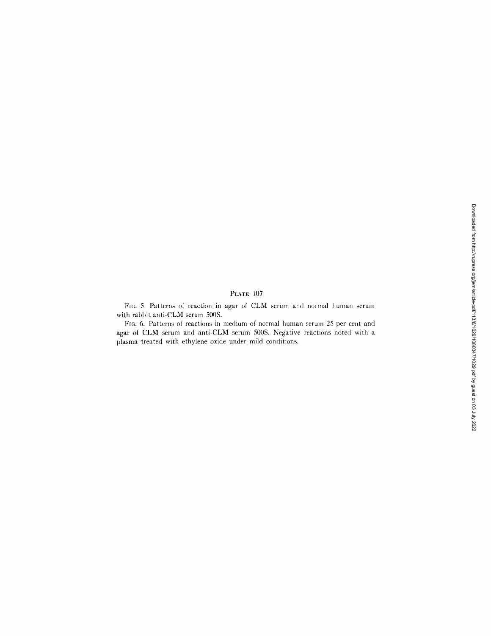# Downloaded from http://rupress.org/jem/article-pdf/113/6/1029/1080347/1029.pdf by guest on 03 July 2022 Downloaded from http://rupress.org/jem/article-pdf/113/6/1029/1080347/1029.pdf by guest on 03 July 2022

# PLATE 107

FIG. S. Patterns of reaction in agar of CLM serum and normal human serum with rabbit anti-CLM serum 500S.

FIG. 6. Patterns of reactions in medium of normal human serum 25 per cent and agar of CLM serum and anti-CLM serum 500S. Negative reactions noted with a plasma treated with ethylene oxide under mild conditions.